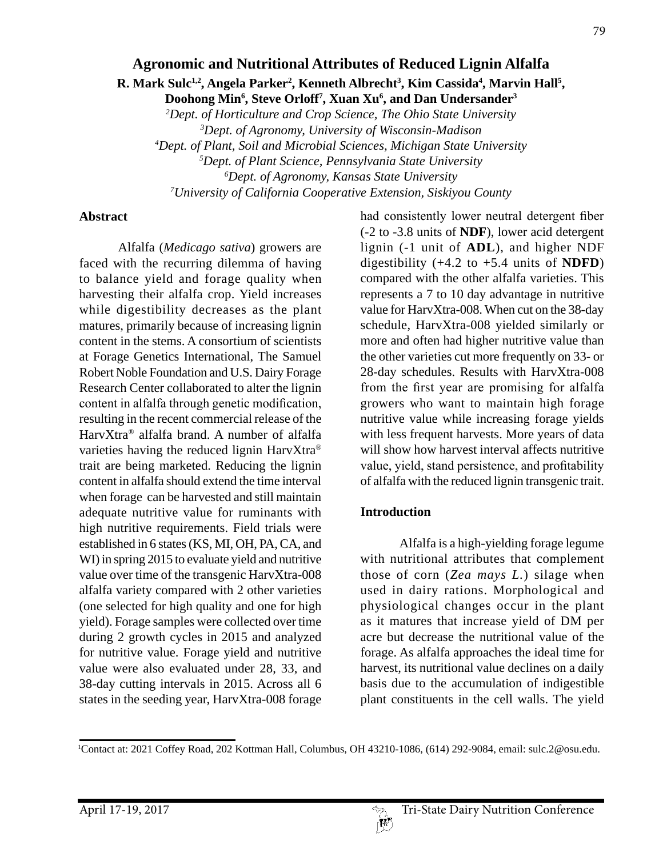## **Agronomic and Nutritional Attributes of Reduced Lignin Alfalfa**

**R.** Mark Sulc<sup>1,2</sup>, Angela Parker<sup>2</sup>, Kenneth Albrecht<sup>3</sup>, Kim Cassida<sup>4</sup>, Marvin Hall<sup>5</sup>,

**Doohong Min6 , Steve Orloff7 , Xuan Xu6 , and Dan Undersander3** *2 Dept. of Horticulture and Crop Science, The Ohio State University*

*3 Dept. of Agronomy, University of Wisconsin-Madison*

*4 Dept. of Plant, Soil and Microbial Sciences, Michigan State University*

*5 Dept. of Plant Science, Pennsylvania State University*

*6 Dept. of Agronomy, Kansas State University*

*7 University of California Cooperative Extension, Siskiyou County*

#### **Abstract**

Alfalfa (*Medicago sativa*) growers are faced with the recurring dilemma of having to balance yield and forage quality when harvesting their alfalfa crop. Yield increases while digestibility decreases as the plant matures, primarily because of increasing lignin content in the stems. A consortium of scientists at Forage Genetics International, The Samuel Robert Noble Foundation and U.S. Dairy Forage Research Center collaborated to alter the lignin content in alfalfa through genetic modification, resulting in the recent commercial release of the HarvXtra® alfalfa brand. A number of alfalfa varieties having the reduced lignin HarvXtra® trait are being marketed. Reducing the lignin content in alfalfa should extend the time interval when forage can be harvested and still maintain adequate nutritive value for ruminants with high nutritive requirements. Field trials were established in 6 states (KS, MI, OH, PA, CA, and WI) in spring 2015 to evaluate yield and nutritive value over time of the transgenic HarvXtra-008 alfalfa variety compared with 2 other varieties (one selected for high quality and one for high yield). Forage samples were collected over time during 2 growth cycles in 2015 and analyzed for nutritive value. Forage yield and nutritive value were also evaluated under 28, 33, and 38-day cutting intervals in 2015. Across all 6 states in the seeding year, HarvXtra-008 forage

had consistently lower neutral detergent fiber (-2 to -3.8 units of **NDF**), lower acid detergent lignin (-1 unit of **ADL**), and higher NDF digestibility (+4.2 to +5.4 units of **NDFD**) compared with the other alfalfa varieties. This represents a 7 to 10 day advantage in nutritive value for HarvXtra-008. When cut on the 38-day schedule, HarvXtra-008 yielded similarly or more and often had higher nutritive value than the other varieties cut more frequently on 33- or 28-day schedules. Results with HarvXtra-008 from the first year are promising for alfalfa growers who want to maintain high forage nutritive value while increasing forage yields with less frequent harvests. More years of data will show how harvest interval affects nutritive value, yield, stand persistence, and profitability of alfalfa with the reduced lignin transgenic trait.

## **Introduction**

Alfalfa is a high-yielding forage legume with nutritional attributes that complement those of corn (*Zea mays L.*) silage when used in dairy rations. Morphological and physiological changes occur in the plant as it matures that increase yield of DM per acre but decrease the nutritional value of the forage. As alfalfa approaches the ideal time for harvest, its nutritional value declines on a daily basis due to the accumulation of indigestible plant constituents in the cell walls. The yield



<sup>1</sup> Contact at: 2021 Coffey Road, 202 Kottman Hall, Columbus, OH 43210-1086, (614) 292-9084, email: sulc.2@osu.edu.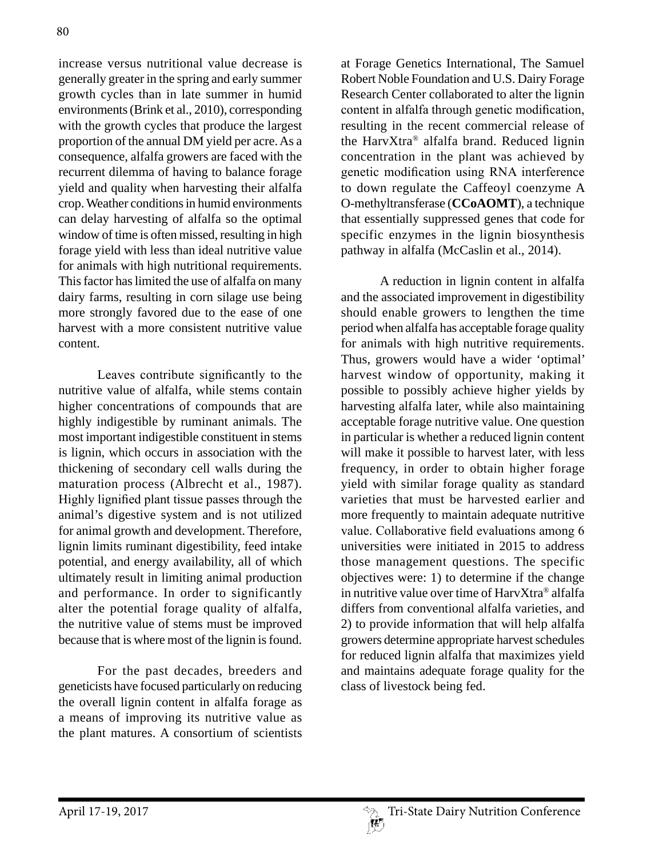increase versus nutritional value decrease is generally greater in the spring and early summer growth cycles than in late summer in humid environments (Brink et al., 2010), corresponding with the growth cycles that produce the largest proportion of the annual DM yield per acre. As a consequence, alfalfa growers are faced with the recurrent dilemma of having to balance forage yield and quality when harvesting their alfalfa crop. Weather conditions in humid environments can delay harvesting of alfalfa so the optimal window of time is often missed, resulting in high forage yield with less than ideal nutritive value for animals with high nutritional requirements. This factor has limited the use of alfalfa on many dairy farms, resulting in corn silage use being more strongly favored due to the ease of one harvest with a more consistent nutritive value content.

Leaves contribute significantly to the nutritive value of alfalfa, while stems contain higher concentrations of compounds that are highly indigestible by ruminant animals. The most important indigestible constituent in stems is lignin, which occurs in association with the thickening of secondary cell walls during the maturation process (Albrecht et al., 1987). Highly lignified plant tissue passes through the animal's digestive system and is not utilized for animal growth and development. Therefore, lignin limits ruminant digestibility, feed intake potential, and energy availability, all of which ultimately result in limiting animal production and performance. In order to significantly alter the potential forage quality of alfalfa, the nutritive value of stems must be improved because that is where most of the lignin is found.

For the past decades, breeders and geneticists have focused particularly on reducing the overall lignin content in alfalfa forage as a means of improving its nutritive value as the plant matures. A consortium of scientists

at Forage Genetics International, The Samuel Robert Noble Foundation and U.S. Dairy Forage Research Center collaborated to alter the lignin content in alfalfa through genetic modification, resulting in the recent commercial release of the HarvXtra® alfalfa brand. Reduced lignin concentration in the plant was achieved by genetic modification using RNA interference to down regulate the Caffeoyl coenzyme A O-methyltransferase (**CCoAOMT**), a technique that essentially suppressed genes that code for specific enzymes in the lignin biosynthesis pathway in alfalfa (McCaslin et al., 2014).

A reduction in lignin content in alfalfa and the associated improvement in digestibility should enable growers to lengthen the time period when alfalfa has acceptable forage quality for animals with high nutritive requirements. Thus, growers would have a wider 'optimal' harvest window of opportunity, making it possible to possibly achieve higher yields by harvesting alfalfa later, while also maintaining acceptable forage nutritive value. One question in particular is whether a reduced lignin content will make it possible to harvest later, with less frequency, in order to obtain higher forage yield with similar forage quality as standard varieties that must be harvested earlier and more frequently to maintain adequate nutritive value. Collaborative field evaluations among 6 universities were initiated in 2015 to address those management questions. The specific objectives were: 1) to determine if the change in nutritive value over time of HarvXtra® alfalfa differs from conventional alfalfa varieties, and 2) to provide information that will help alfalfa growers determine appropriate harvest schedules for reduced lignin alfalfa that maximizes yield and maintains adequate forage quality for the class of livestock being fed.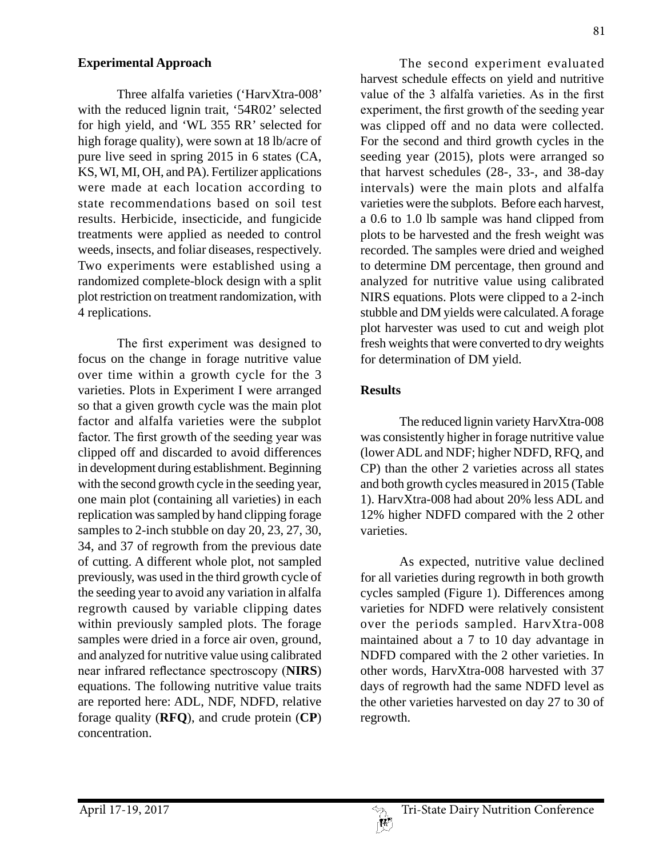### **Experimental Approach**

Three alfalfa varieties ('HarvXtra-008' with the reduced lignin trait, '54R02' selected for high yield, and 'WL 355 RR' selected for high forage quality), were sown at 18 lb/acre of pure live seed in spring 2015 in 6 states (CA, KS, WI, MI, OH, and PA). Fertilizer applications were made at each location according to state recommendations based on soil test results. Herbicide, insecticide, and fungicide treatments were applied as needed to control weeds, insects, and foliar diseases, respectively. Two experiments were established using a randomized complete-block design with a split plot restriction on treatment randomization, with 4 replications.

The first experiment was designed to focus on the change in forage nutritive value over time within a growth cycle for the 3 varieties. Plots in Experiment I were arranged so that a given growth cycle was the main plot factor and alfalfa varieties were the subplot factor. The first growth of the seeding year was clipped off and discarded to avoid differences in development during establishment. Beginning with the second growth cycle in the seeding year, one main plot (containing all varieties) in each replication was sampled by hand clipping forage samples to 2-inch stubble on day 20, 23, 27, 30, 34, and 37 of regrowth from the previous date of cutting. A different whole plot, not sampled previously, was used in the third growth cycle of the seeding year to avoid any variation in alfalfa regrowth caused by variable clipping dates within previously sampled plots. The forage samples were dried in a force air oven, ground, and analyzed for nutritive value using calibrated near infrared reflectance spectroscopy (**NIRS**) equations. The following nutritive value traits are reported here: ADL, NDF, NDFD, relative forage quality (**RFQ**), and crude protein (**CP**) concentration.

The second experiment evaluated harvest schedule effects on yield and nutritive value of the 3 alfalfa varieties. As in the first experiment, the first growth of the seeding year was clipped off and no data were collected. For the second and third growth cycles in the seeding year (2015), plots were arranged so that harvest schedules (28-, 33-, and 38-day intervals) were the main plots and alfalfa varieties were the subplots. Before each harvest, a 0.6 to 1.0 lb sample was hand clipped from plots to be harvested and the fresh weight was recorded. The samples were dried and weighed to determine DM percentage, then ground and analyzed for nutritive value using calibrated NIRS equations. Plots were clipped to a 2-inch stubble and DM yields were calculated. A forage plot harvester was used to cut and weigh plot fresh weights that were converted to dry weights for determination of DM yield.

## **Results**

The reduced lignin variety HarvXtra-008 was consistently higher in forage nutritive value (lower ADL and NDF; higher NDFD, RFQ, and CP) than the other 2 varieties across all states and both growth cycles measured in 2015 (Table 1). HarvXtra-008 had about 20% less ADL and 12% higher NDFD compared with the 2 other varieties.

As expected, nutritive value declined for all varieties during regrowth in both growth cycles sampled (Figure 1). Differences among varieties for NDFD were relatively consistent over the periods sampled. HarvXtra-008 maintained about a 7 to 10 day advantage in NDFD compared with the 2 other varieties. In other words, HarvXtra-008 harvested with 37 days of regrowth had the same NDFD level as the other varieties harvested on day 27 to 30 of regrowth.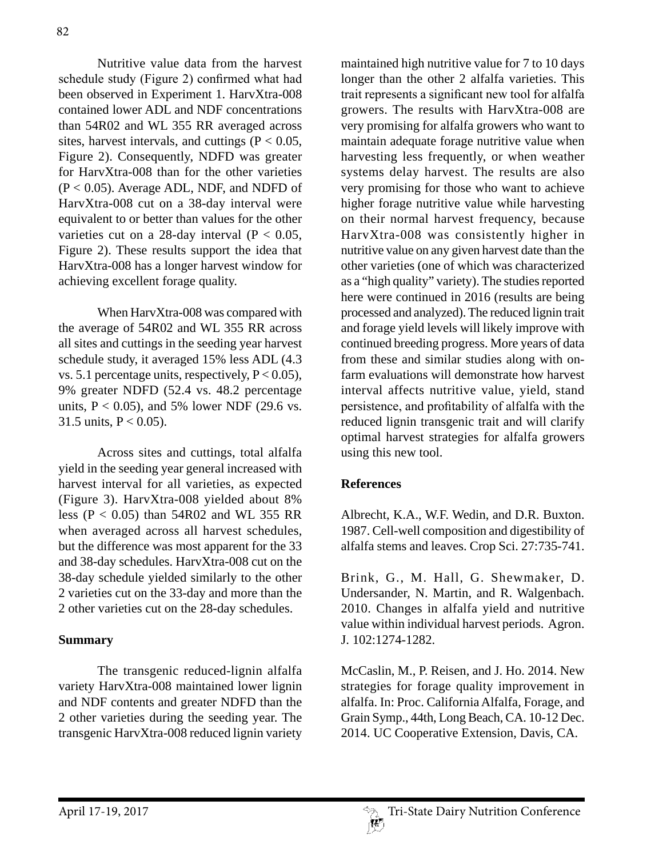82

Nutritive value data from the harvest schedule study (Figure 2) confirmed what had been observed in Experiment 1. HarvXtra-008 contained lower ADL and NDF concentrations than 54R02 and WL 355 RR averaged across sites, harvest intervals, and cuttings ( $P < 0.05$ , Figure 2). Consequently, NDFD was greater for HarvXtra-008 than for the other varieties  $(P < 0.05)$ . Average ADL, NDF, and NDFD of HarvXtra-008 cut on a 38-day interval were equivalent to or better than values for the other varieties cut on a 28-day interval ( $P < 0.05$ , Figure 2). These results support the idea that HarvXtra-008 has a longer harvest window for achieving excellent forage quality.

When HarvXtra-008 was compared with the average of 54R02 and WL 355 RR across all sites and cuttings in the seeding year harvest schedule study, it averaged 15% less ADL (4.3 vs. 5.1 percentage units, respectively,  $P < 0.05$ ), 9% greater NDFD (52.4 vs. 48.2 percentage units,  $P < 0.05$ ), and 5% lower NDF (29.6 vs. 31.5 units,  $P < 0.05$ ).

Across sites and cuttings, total alfalfa yield in the seeding year general increased with harvest interval for all varieties, as expected (Figure 3). HarvXtra-008 yielded about 8% less (P < 0.05) than 54R02 and WL 355 RR when averaged across all harvest schedules, but the difference was most apparent for the 33 and 38-day schedules. HarvXtra-008 cut on the 38-day schedule yielded similarly to the other 2 varieties cut on the 33-day and more than the 2 other varieties cut on the 28-day schedules.

# **Summary**

The transgenic reduced-lignin alfalfa variety HarvXtra-008 maintained lower lignin and NDF contents and greater NDFD than the 2 other varieties during the seeding year. The transgenic HarvXtra-008 reduced lignin variety

maintained high nutritive value for 7 to 10 days longer than the other 2 alfalfa varieties. This trait represents a significant new tool for alfalfa growers. The results with HarvXtra-008 are very promising for alfalfa growers who want to maintain adequate forage nutritive value when harvesting less frequently, or when weather systems delay harvest. The results are also very promising for those who want to achieve higher forage nutritive value while harvesting on their normal harvest frequency, because HarvXtra-008 was consistently higher in nutritive value on any given harvest date than the other varieties (one of which was characterized as a "high quality" variety). The studies reported here were continued in 2016 (results are being processed and analyzed). The reduced lignin trait and forage yield levels will likely improve with continued breeding progress. More years of data from these and similar studies along with onfarm evaluations will demonstrate how harvest interval affects nutritive value, yield, stand persistence, and profitability of alfalfa with the reduced lignin transgenic trait and will clarify optimal harvest strategies for alfalfa growers using this new tool.

# **References**

Albrecht, K.A., W.F. Wedin, and D.R. Buxton. 1987. Cell-well composition and digestibility of alfalfa stems and leaves. Crop Sci. 27:735-741.

Brink, G., M. Hall, G. Shewmaker, D. Undersander, N. Martin, and R. Walgenbach. 2010. Changes in alfalfa yield and nutritive value within individual harvest periods. Agron. J. 102:1274-1282.

McCaslin, M., P. Reisen, and J. Ho. 2014. New strategies for forage quality improvement in alfalfa. In: Proc. California Alfalfa, Forage, and Grain Symp., 44th, Long Beach, CA. 10-12 Dec. 2014. UC Cooperative Extension, Davis, CA.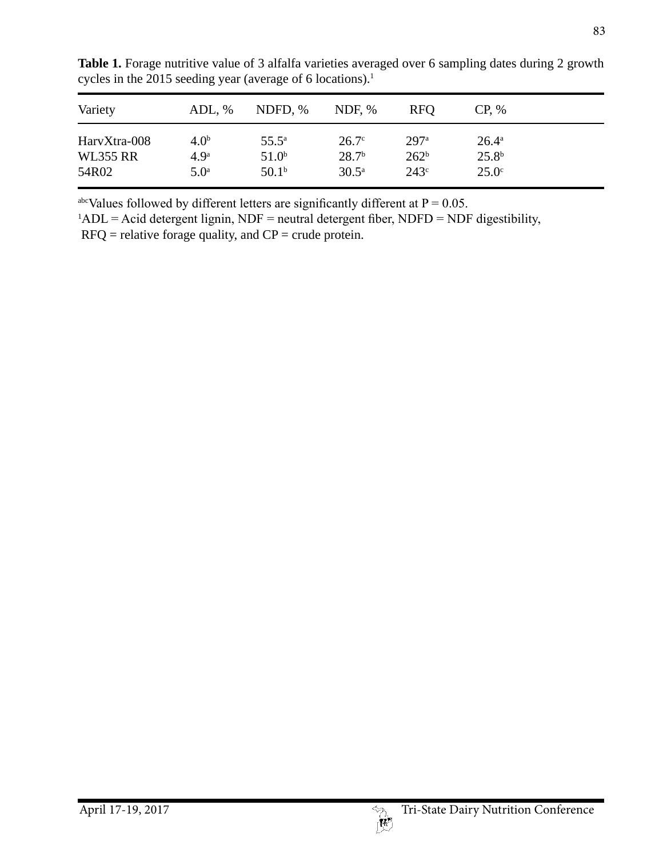| Variety         | ADL, %           | NDFD, %           | NDF, $%$          | <b>RFO</b>       | $CP. \%$          |  |
|-----------------|------------------|-------------------|-------------------|------------------|-------------------|--|
| HarvXtra-008    | 4.0 <sup>b</sup> | $55.5^{\circ}$    | $26.7^\circ$      | 297 <sup>a</sup> | $26.4^{\circ}$    |  |
| <b>WL355 RR</b> | 4.9 <sup>a</sup> | 51.0 <sup>b</sup> | 28.7 <sup>b</sup> | 262 <sup>b</sup> | 25.8 <sup>b</sup> |  |
| 54R02           | 5.0 <sup>a</sup> | 50.1 <sup>b</sup> | $30.5^{\circ}$    | 243 <sup>c</sup> | $25.0^\circ$      |  |

Table 1. Forage nutritive value of 3 alfalfa varieties averaged over 6 sampling dates during 2 growth cycles in the 2015 seeding year (average of 6 locations).<sup>1</sup>

<sup>abc</sup>Values followed by different letters are significantly different at  $P = 0.05$ .

 $1$ ADL = Acid detergent lignin, NDF = neutral detergent fiber, NDFD = NDF digestibility,

 $RFC$  = relative forage quality, and  $CP$  = crude protein.

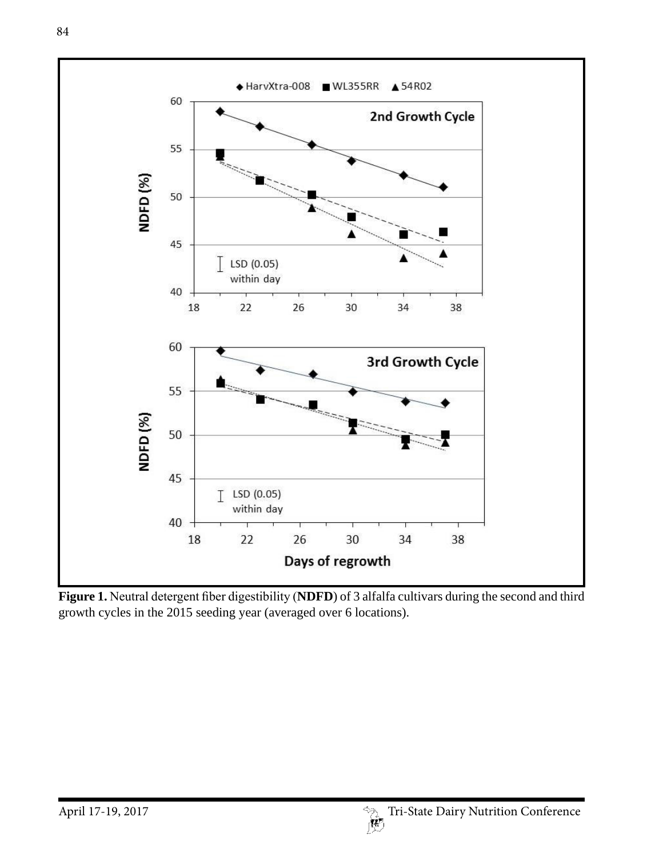

**Figure 1.** Neutral detergent fiber digestibility (**NDFD**) of 3 alfalfa cultivars during the second and third growth cycles in the 2015 seeding year (averaged over 6 locations).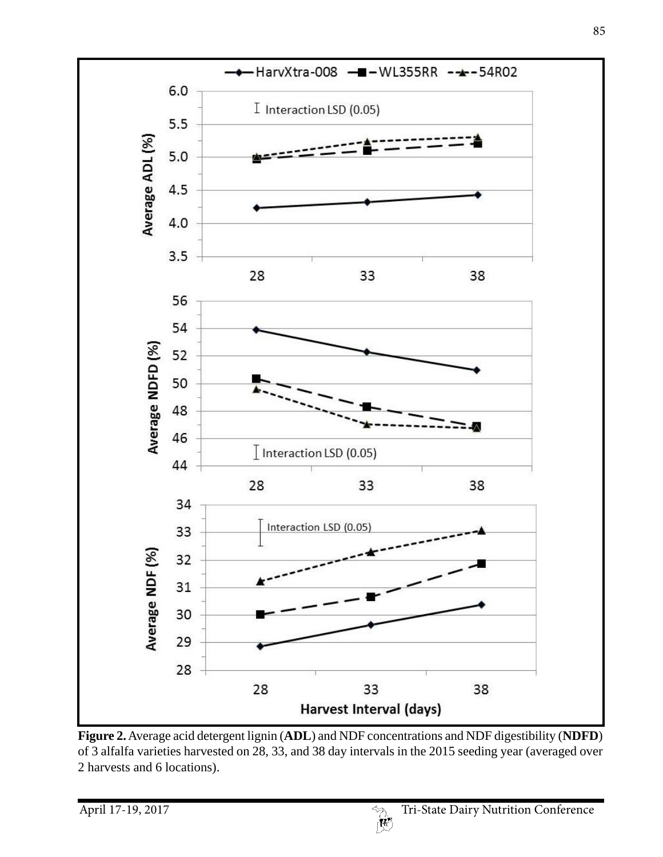

**Figure 2.** Average acid detergent lignin (**ADL**) and NDF concentrations and NDF digestibility (**NDFD**) of 3 alfalfa varieties harvested on 28, 33, and 38 day intervals in the 2015 seeding year (averaged over 2 harvests and 6 locations).